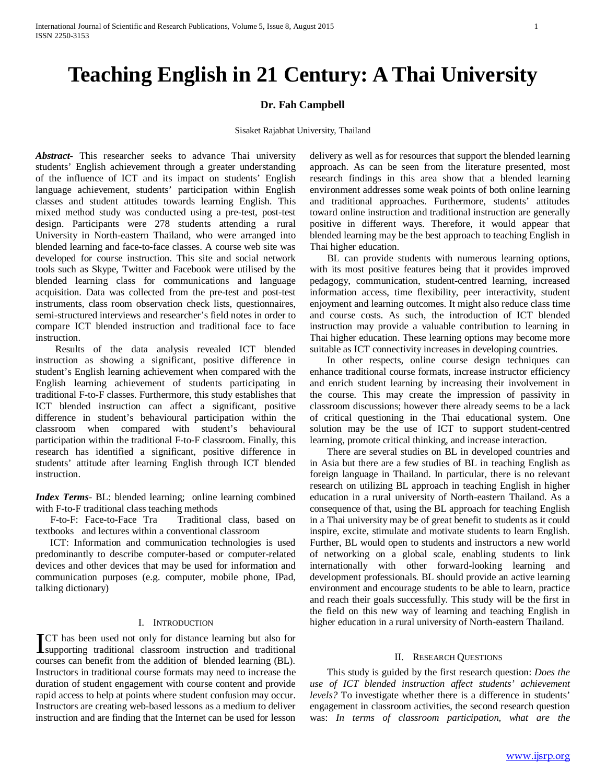# **Teaching English in 21 Century: A Thai University**

# **Dr. Fah Campbell**

#### Sisaket Rajabhat University, Thailand

*Abstract***-** This researcher seeks to advance Thai university students' English achievement through a greater understanding of the influence of ICT and its impact on students' English language achievement, students' participation within English classes and student attitudes towards learning English. This mixed method study was conducted using a pre-test, post-test design. Participants were 278 students attending a rural University in North-eastern Thailand, who were arranged into blended learning and face-to-face classes. A course web site was developed for course instruction. This site and social network tools such as Skype, Twitter and Facebook were utilised by the blended learning class for communications and language acquisition. Data was collected from the pre-test and post-test instruments, class room observation check lists, questionnaires, semi-structured interviews and researcher's field notes in order to compare ICT blended instruction and traditional face to face instruction.

 Results of the data analysis revealed ICT blended instruction as showing a significant, positive difference in student's English learning achievement when compared with the English learning achievement of students participating in traditional F-to-F classes. Furthermore, this study establishes that ICT blended instruction can affect a significant, positive difference in student's behavioural participation within the classroom when compared with student's behavioural participation within the traditional F-to-F classroom. Finally, this research has identified a significant, positive difference in students' attitude after learning English through ICT blended instruction.

*Index Terms*- BL: blended learning; online learning combined with F-to-F traditional class teaching methods

 F-to-F: Face-to-Face Tra Traditional class, based on textbooks and lectures within a conventional classroom

 ICT: Information and communication technologies is used predominantly to describe computer-based or computer-related devices and other devices that may be used for information and communication purposes (e.g. computer, mobile phone, IPad, talking dictionary)

# I. INTRODUCTION

CT has been used not only for distance learning but also for **Supporting traditional classroom instruction and traditional displayers** traditional classroom instruction and traditional classroom instruction and traditional courses can benefit from the addition of blended learning (BL). Instructors in traditional course formats may need to increase the duration of student engagement with course content and provide rapid access to help at points where student confusion may occur. Instructors are creating web-based lessons as a medium to deliver instruction and are finding that the Internet can be used for lesson

delivery as well as for resources that support the blended learning approach. As can be seen from the literature presented, most research findings in this area show that a blended learning environment addresses some weak points of both online learning and traditional approaches. Furthermore, students' attitudes toward online instruction and traditional instruction are generally positive in different ways. Therefore, it would appear that blended learning may be the best approach to teaching English in Thai higher education.

 BL can provide students with numerous learning options, with its most positive features being that it provides improved pedagogy, communication, student-centred learning, increased information access, time flexibility, peer interactivity, student enjoyment and learning outcomes. It might also reduce class time and course costs. As such, the introduction of ICT blended instruction may provide a valuable contribution to learning in Thai higher education. These learning options may become more suitable as ICT connectivity increases in developing countries.

 In other respects, online course design techniques can enhance traditional course formats, increase instructor efficiency and enrich student learning by increasing their involvement in the course. This may create the impression of passivity in classroom discussions; however there already seems to be a lack of critical questioning in the Thai educational system. One solution may be the use of ICT to support student-centred learning, promote critical thinking, and increase interaction.

 There are several studies on BL in developed countries and in Asia but there are a few studies of BL in teaching English as foreign language in Thailand. In particular, there is no relevant research on utilizing BL approach in teaching English in higher education in a rural university of North-eastern Thailand. As a consequence of that, using the BL approach for teaching English in a Thai university may be of great benefit to students as it could inspire, excite, stimulate and motivate students to learn English. Further, BL would open to students and instructors a new world of networking on a global scale, enabling students to link internationally with other forward-looking learning and development professionals. BL should provide an active learning environment and encourage students to be able to learn, practice and reach their goals successfully. This study will be the first in the field on this new way of learning and teaching English in higher education in a rural university of North-eastern Thailand.

# II. RESEARCH QUESTIONS

 This study is guided by the first research question: *Does the use of ICT blended instruction affect students' achievement levels?* To investigate whether there is a difference in students' engagement in classroom activities, the second research question was: *In terms of classroom participation, what are the*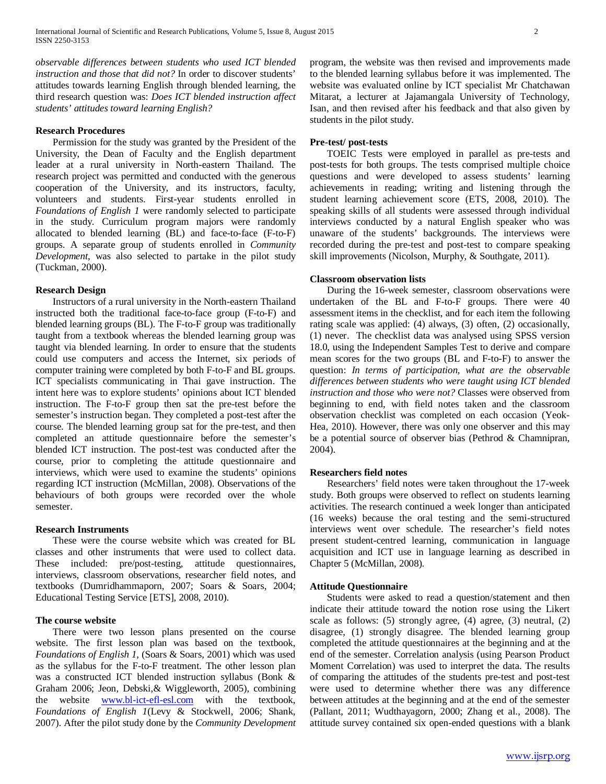*observable differences between students who used ICT blended instruction and those that did not?* In order to discover students' attitudes towards learning English through blended learning, the third research question was: *Does ICT blended instruction affect students' attitudes toward learning English?*

# **Research Procedures**

 Permission for the study was granted by the President of the University, the Dean of Faculty and the English department leader at a rural university in North-eastern Thailand. The research project was permitted and conducted with the generous cooperation of the University, and its instructors, faculty, volunteers and students. First-year students enrolled in *Foundations of English 1* were randomly selected to participate in the study. Curriculum program majors were randomly allocated to blended learning (BL) and face-to-face (F-to-F) groups. A separate group of students enrolled in *Community Development*, was also selected to partake in the pilot study (Tuckman, 2000).

#### **Research Design**

 Instructors of a rural university in the North-eastern Thailand instructed both the traditional face-to-face group (F-to-F) and blended learning groups (BL). The F-to-F group was traditionally taught from a textbook whereas the blended learning group was taught via blended learning. In order to ensure that the students could use computers and access the Internet, six periods of computer training were completed by both F-to-F and BL groups. ICT specialists communicating in Thai gave instruction. The intent here was to explore students' opinions about ICT blended instruction. The F-to-F group then sat the pre-test before the semester's instruction began. They completed a post-test after the course. The blended learning group sat for the pre-test, and then completed an attitude questionnaire before the semester's blended ICT instruction. The post-test was conducted after the course, prior to completing the attitude questionnaire and interviews, which were used to examine the students' opinions regarding ICT instruction (McMillan, 2008). Observations of the behaviours of both groups were recorded over the whole semester.

#### **Research Instruments**

 These were the course website which was created for BL classes and other instruments that were used to collect data. These included: pre/post-testing, attitude questionnaires, interviews, classroom observations, researcher field notes, and textbooks (Dumridhammaporn, 2007; Soars & Soars, 2004; Educational Testing Service [ETS], 2008, 2010).

## **The course website**

 There were two lesson plans presented on the course website. The first lesson plan was based on the textbook, *Foundations of English 1*, (Soars & Soars, 2001) which was used as the syllabus for the F-to-F treatment. The other lesson plan was a constructed ICT blended instruction syllabus (Bonk & Graham 2006; Jeon, Debski,& Wiggleworth, 2005), combining the website [www.bl-ict-efl-esl.com](http://www.bl-ict-efl-esl.com/) with the textbook, *Foundations of English 1*(Levy & Stockwell, 2006; Shank, 2007). After the pilot study done by the *Community Development* program, the website was then revised and improvements made to the blended learning syllabus before it was implemented. The website was evaluated online by ICT specialist Mr Chatchawan Mitarat, a lecturer at Jajamangala University of Technology, Isan, and then revised after his feedback and that also given by students in the pilot study.

# **Pre-test/ post-tests**

 TOEIC Tests were employed in parallel as pre-tests and post-tests for both groups. The tests comprised multiple choice questions and were developed to assess students' learning achievements in reading; writing and listening through the student learning achievement score (ETS, 2008, 2010). The speaking skills of all students were assessed through individual interviews conducted by a natural English speaker who was unaware of the students' backgrounds. The interviews were recorded during the pre-test and post-test to compare speaking skill improvements (Nicolson, Murphy, & Southgate, 2011).

# **Classroom observation lists**

 During the 16-week semester, classroom observations were undertaken of the BL and F-to-F groups. There were 40 assessment items in the checklist, and for each item the following rating scale was applied: (4) always, (3) often, (2) occasionally, (1) never. The checklist data was analysed using SPSS version 18.0, using the Independent Samples Test to derive and compare mean scores for the two groups (BL and F-to-F) to answer the question: *In terms of participation, what are the observable differences between students who were taught using ICT blended instruction and those who were not?* Classes were observed from beginning to end, with field notes taken and the classroom observation checklist was completed on each occasion (Yeok-Hea, 2010). However, there was only one observer and this may be a potential source of observer bias (Pethrod & Chamnipran, 2004).

#### **Researchers field notes**

 Researchers' field notes were taken throughout the 17-week study. Both groups were observed to reflect on students learning activities. The research continued a week longer than anticipated (16 weeks) because the oral testing and the semi-structured interviews went over schedule. The researcher's field notes present student-centred learning, communication in language acquisition and ICT use in language learning as described in Chapter 5 (McMillan, 2008).

#### **Attitude Questionnaire**

 Students were asked to read a question/statement and then indicate their attitude toward the notion rose using the Likert scale as follows: (5) strongly agree, (4) agree, (3) neutral, (2) disagree, (1) strongly disagree. The blended learning group completed the attitude questionnaires at the beginning and at the end of the semester. Correlation analysis (using Pearson Product Moment Correlation) was used to interpret the data. The results of comparing the attitudes of the students pre-test and post-test were used to determine whether there was any difference between attitudes at the beginning and at the end of the semester (Pallant, 2011; Wudthayagorn, 2000; Zhang et al., 2008). The attitude survey contained six open-ended questions with a blank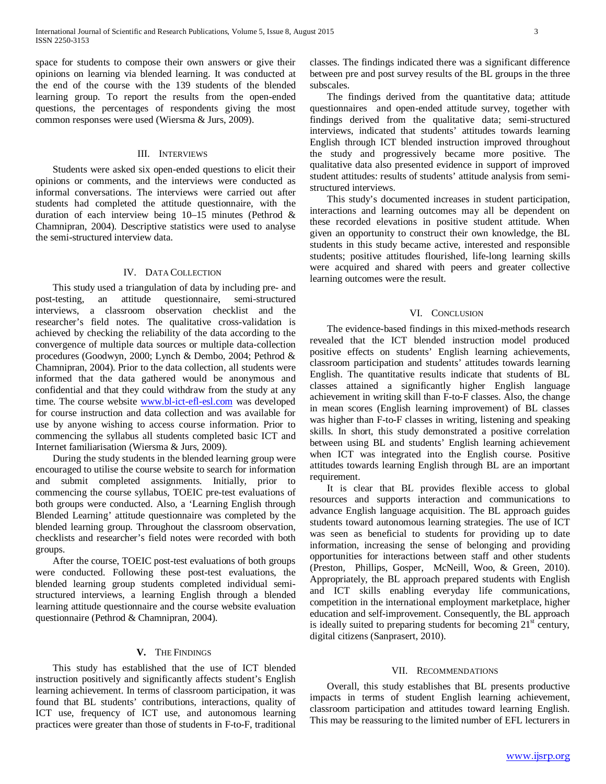space for students to compose their own answers or give their opinions on learning via blended learning. It was conducted at the end of the course with the 139 students of the blended learning group. To report the results from the open-ended questions, the percentages of respondents giving the most common responses were used (Wiersma & Jurs, 2009).

# III. INTERVIEWS

 Students were asked six open-ended questions to elicit their opinions or comments, and the interviews were conducted as informal conversations. The interviews were carried out after students had completed the attitude questionnaire, with the duration of each interview being 10–15 minutes (Pethrod & Chamnipran, 2004). Descriptive statistics were used to analyse the semi-structured interview data.

# IV. DATA COLLECTION

 This study used a triangulation of data by including pre- and post-testing, an attitude questionnaire, semi-structured interviews, a classroom observation checklist and the researcher's field notes. The qualitative cross-validation is achieved by checking the reliability of the data according to the convergence of multiple data sources or multiple data-collection procedures (Goodwyn, 2000; Lynch & Dembo, 2004; Pethrod & Chamnipran, 2004). Prior to the data collection, all students were informed that the data gathered would be anonymous and confidential and that they could withdraw from the study at any time. The course website [www.bl-ict-efl-esl.com](http://www.bl-ict-efl-esl.com/) was developed for course instruction and data collection and was available for use by anyone wishing to access course information. Prior to commencing the syllabus all students completed basic ICT and Internet familiarisation (Wiersma & Jurs, 2009).

 During the study students in the blended learning group were encouraged to utilise the course website to search for information and submit completed assignments. Initially, prior to commencing the course syllabus, TOEIC pre-test evaluations of both groups were conducted. Also, a 'Learning English through Blended Learning' attitude questionnaire was completed by the blended learning group. Throughout the classroom observation, checklists and researcher's field notes were recorded with both groups.

 After the course, TOEIC post-test evaluations of both groups were conducted. Following these post-test evaluations, the blended learning group students completed individual semistructured interviews, a learning English through a blended learning attitude questionnaire and the course website evaluation questionnaire (Pethrod & Chamnipran, 2004).

#### **V.** THE FINDINGS

 This study has established that the use of ICT blended instruction positively and significantly affects student's English learning achievement. In terms of classroom participation, it was found that BL students' contributions, interactions, quality of ICT use, frequency of ICT use, and autonomous learning practices were greater than those of students in F-to-F, traditional

classes. The findings indicated there was a significant difference between pre and post survey results of the BL groups in the three subscales.

 The findings derived from the quantitative data; attitude questionnaires and open-ended attitude survey, together with findings derived from the qualitative data; semi-structured interviews, indicated that students' attitudes towards learning English through ICT blended instruction improved throughout the study and progressively became more positive. The qualitative data also presented evidence in support of improved student attitudes: results of students' attitude analysis from semistructured interviews.

 This study's documented increases in student participation, interactions and learning outcomes may all be dependent on these recorded elevations in positive student attitude. When given an opportunity to construct their own knowledge, the BL students in this study became active, interested and responsible students; positive attitudes flourished, life-long learning skills were acquired and shared with peers and greater collective learning outcomes were the result.

## VI. CONCLUSION

 The evidence-based findings in this mixed-methods research revealed that the ICT blended instruction model produced positive effects on students' English learning achievements, classroom participation and students' attitudes towards learning English. The quantitative results indicate that students of BL classes attained a significantly higher English language achievement in writing skill than F-to-F classes. Also, the change in mean scores (English learning improvement) of BL classes was higher than F-to-F classes in writing, listening and speaking skills. In short, this study demonstrated a positive correlation between using BL and students' English learning achievement when ICT was integrated into the English course. Positive attitudes towards learning English through BL are an important requirement.

 It is clear that BL provides flexible access to global resources and supports interaction and communications to advance English language acquisition. The BL approach guides students toward autonomous learning strategies. The use of ICT was seen as beneficial to students for providing up to date information, increasing the sense of belonging and providing opportunities for interactions between staff and other students (Preston, Phillips, Gosper, McNeill, Woo, & Green, 2010). Appropriately, the BL approach prepared students with English and ICT skills enabling everyday life communications, competition in the international employment marketplace, higher education and self-improvement. Consequently, the BL approach is ideally suited to preparing students for becoming  $21<sup>st</sup>$  century, digital citizens (Sanprasert, 2010).

# VII. RECOMMENDATIONS

 Overall, this study establishes that BL presents productive impacts in terms of student English learning achievement, classroom participation and attitudes toward learning English. This may be reassuring to the limited number of EFL lecturers in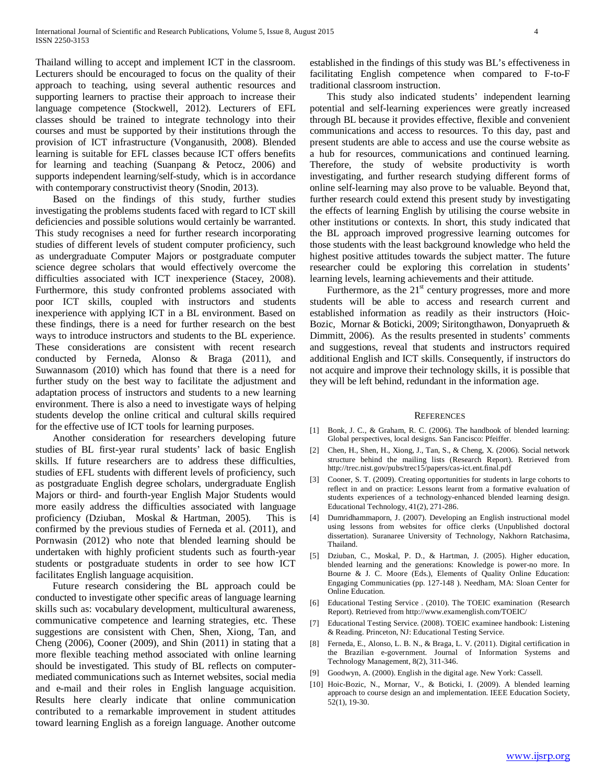Thailand willing to accept and implement ICT in the classroom. Lecturers should be encouraged to focus on the quality of their approach to teaching, using several authentic resources and supporting learners to practise their approach to increase their language competence (Stockwell, 2012). Lecturers of EFL classes should be trained to integrate technology into their courses and must be supported by their institutions through the provision of ICT infrastructure (Vonganusith, 2008). Blended learning is suitable for EFL classes because ICT offers benefits for learning and teaching (Suanpang & Petocz, 2006) and supports independent learning/self-study, which is in accordance with contemporary constructivist theory (Snodin, 2013).

 Based on the findings of this study, further studies investigating the problems students faced with regard to ICT skill deficiencies and possible solutions would certainly be warranted. This study recognises a need for further research incorporating studies of different levels of student computer proficiency, such as undergraduate Computer Majors or postgraduate computer science degree scholars that would effectively overcome the difficulties associated with ICT inexperience (Stacey, 2008). Furthermore, this study confronted problems associated with poor ICT skills, coupled with instructors and students inexperience with applying ICT in a BL environment. Based on these findings, there is a need for further research on the best ways to introduce instructors and students to the BL experience. These considerations are consistent with recent research conducted by Ferneda, Alonso & Braga (2011), and Suwannasom (2010) which has found that there is a need for further study on the best way to facilitate the adjustment and adaptation process of instructors and students to a new learning environment. There is also a need to investigate ways of helping students develop the online critical and cultural skills required for the effective use of ICT tools for learning purposes.

 Another consideration for researchers developing future studies of BL first-year rural students' lack of basic English skills. If future researchers are to address these difficulties, studies of EFL students with different levels of proficiency, such as postgraduate English degree scholars, undergraduate English Majors or third- and fourth-year English Major Students would more easily address the difficulties associated with language proficiency (Dziuban, Moskal & Hartman, 2005). This is confirmed by the previous studies of Ferneda et al. (2011), and Pornwasin (2012) who note that blended learning should be undertaken with highly proficient students such as fourth-year students or postgraduate students in order to see how ICT facilitates English language acquisition.

 Future research considering the BL approach could be conducted to investigate other specific areas of language learning skills such as: vocabulary development, multicultural awareness, communicative competence and learning strategies, etc. These suggestions are consistent with Chen, Shen, Xiong, Tan, and Cheng (2006), Cooner (2009), and Shin (2011) in stating that a more flexible teaching method associated with online learning should be investigated. This study of BL reflects on computermediated communications such as Internet websites, social media and e-mail and their roles in English language acquisition. Results here clearly indicate that online communication contributed to a remarkable improvement in student attitudes toward learning English as a foreign language. Another outcome

established in the findings of this study was BL's effectiveness in facilitating English competence when compared to F-to-F traditional classroom instruction.

 This study also indicated students' independent learning potential and self-learning experiences were greatly increased through BL because it provides effective, flexible and convenient communications and access to resources. To this day, past and present students are able to access and use the course website as a hub for resources, communications and continued learning. Therefore, the study of website productivity is worth investigating, and further research studying different forms of online self-learning may also prove to be valuable. Beyond that, further research could extend this present study by investigating the effects of learning English by utilising the course website in other institutions or contexts. In short, this study indicated that the BL approach improved progressive learning outcomes for those students with the least background knowledge who held the highest positive attitudes towards the subject matter. The future researcher could be exploring this correlation in students' learning levels, learning achievements and their attitude.

Furthermore, as the  $21<sup>st</sup>$  century progresses, more and more students will be able to access and research current and established information as readily as their instructors (Hoic-Bozic, Mornar & Boticki, 2009; Siritongthawon, Donyaprueth & Dimmitt, 2006). As the results presented in students' comments and suggestions, reveal that students and instructors required additional English and ICT skills. Consequently, if instructors do not acquire and improve their technology skills, it is possible that they will be left behind, redundant in the information age.

#### **REFERENCES**

- [1] Bonk, J. C., & Graham, R. C. (2006). The handbook of blended learning: Global perspectives, local designs. San Fancisco: Pfeiffer.
- [2] Chen, H., Shen, H., Xiong, J., Tan, S., & Cheng, X. (2006). Social network structure behind the mailing lists (Research Report). Retrieved from http://trec.nist.gov/pubs/trec15/papers/cas-ict.ent.final.pdf
- [3] Cooner, S. T. (2009). Creating opportunities for students in large cohorts to reflect in and on practice: Lessons learnt from a formative evaluation of students experiences of a technology-enhanced blended learning design. Educational Technology, 41(2), 271-286.
- [4] Dumridhammaporn, J. (2007). Developing an English instructional model using lessons from websites for office clerks (Unpublished doctoral dissertation). Suranaree University of Technology, Nakhorn Ratchasima, Thailand.
- [5] Dziuban, C., Moskal, P. D., & Hartman, J. (2005). Higher education, blended learning and the generations: Knowledge is power-no more. In Bourne & J. C. Moore (Eds.), Elements of Quality Online Education: Engaging Communicaties (pp. 127-148 ). Needham, MA: Sloan Center for Online Education.
- [6] Educational Testing Service . (2010). The TOEIC examination (Research Report). Retrieved from http://www.examenglish.com/TOEIC/
- [7] Educational Testing Service. (2008). TOEIC examinee handbook: Listening & Reading. Princeton, NJ: Educational Testing Service.
- [8] Ferneda, E., Alonso, L. B. N., & Braga, L. V. (2011). Digital certification in the Brazilian e-government. Journal of Information Systems and Technology Management, 8(2), 311-346.
- [9] Goodwyn, A. (2000). English in the digital age. New York: Cassell.
- [10] Hoic-Bozic, N., Mornar, V., & Boticki, I. (2009). A blended learning approach to course design an and implementation. IEEE Education Society, 52(1), 19-30.